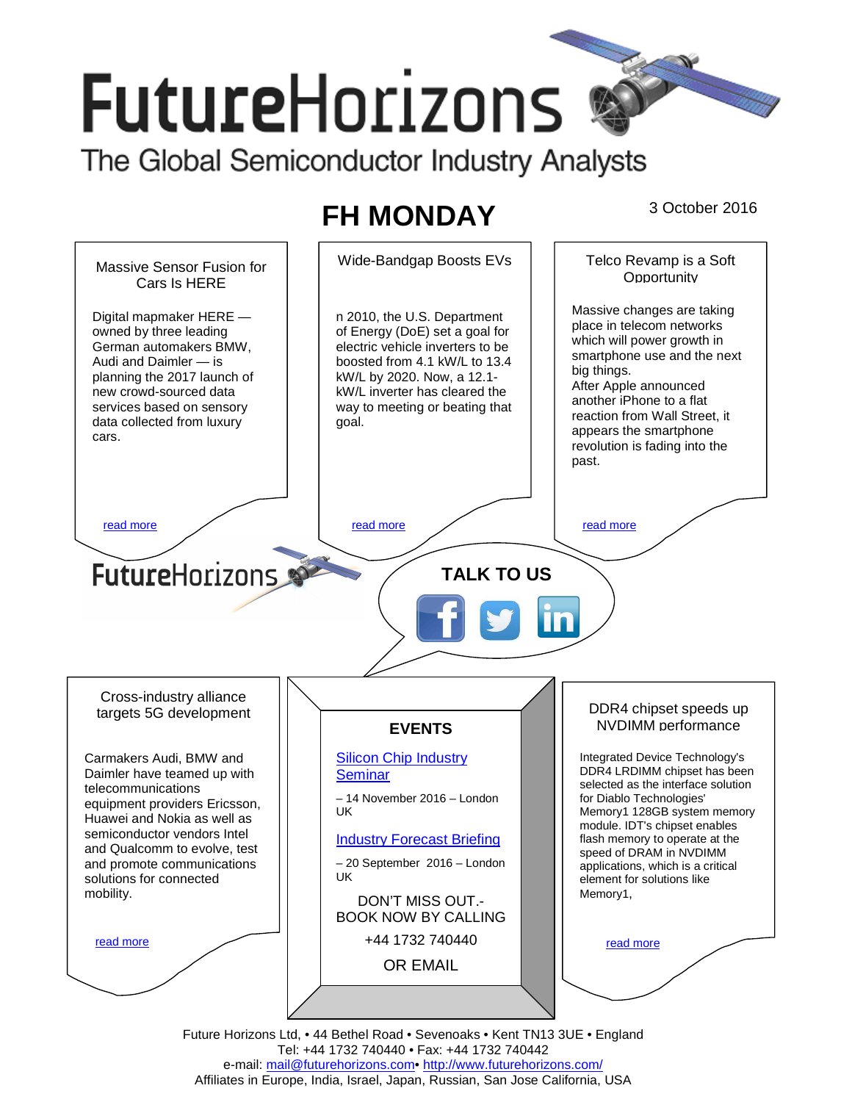# **FutureHorizons**

The Global Semiconductor Industry Analysts

# FH MONDAY <sup>3 October 2016</sup>



Tel: +44 1732 740440 • Fax: +44 1732 740442 e-mail: mail@futurehorizons.com• http://www.futurehorizons.com/ Affiliates in Europe, India, Israel, Japan, Russian, San Jose California, USA